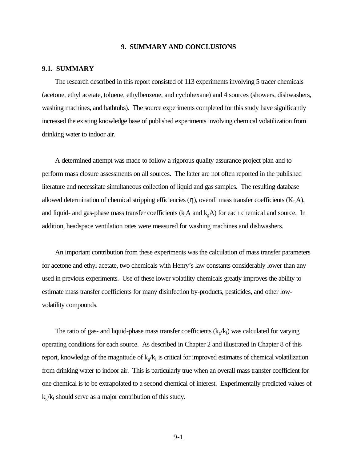#### **9. SUMMARY AND CONCLUSIONS**

#### **9.1. SUMMARY**

The research described in this report consisted of 113 experiments involving 5 tracer chemicals (acetone, ethyl acetate, toluene, ethylbenzene, and cyclohexane) and 4 sources (showers, dishwashers, washing machines, and bathtubs). The source experiments completed for this study have significantly increased the existing knowledge base of published experiments involving chemical volatilization from drinking water to indoor air.

A determined attempt was made to follow a rigorous quality assurance project plan and to perform mass closure assessments on all sources. The latter are not often reported in the published literature and necessitate simultaneous collection of liquid and gas samples. The resulting database allowed determination of chemical stripping efficiencies  $(\eta)$ , overall mass transfer coefficients  $(K_L A)$ , and liquid- and gas-phase mass transfer coefficients ( $k<sub>1</sub>A$  and  $k<sub>g</sub>A$ ) for each chemical and source. In addition, headspace ventilation rates were measured for washing machines and dishwashers.

An important contribution from these experiments was the calculation of mass transfer parameters for acetone and ethyl acetate, two chemicals with Henry's law constants considerably lower than any used in previous experiments. Use of these lower volatility chemicals greatly improves the ability to estimate mass transfer coefficients for many disinfection by-products, pesticides, and other lowvolatility compounds.

The ratio of gas- and liquid-phase mass transfer coefficients  $(k_g / k_l)$  was calculated for varying operating conditions for each source. As described in Chapter 2 and illustrated in Chapter 8 of this report, knowledge of the magnitude of  $k_g/k_l$  is critical for improved estimates of chemical volatilization from drinking water to indoor air. This is particularly true when an overall mass transfer coefficient for one chemical is to be extrapolated to a second chemical of interest. Experimentally predicted values of  $k_g/k_l$  should serve as a major contribution of this study.

9-1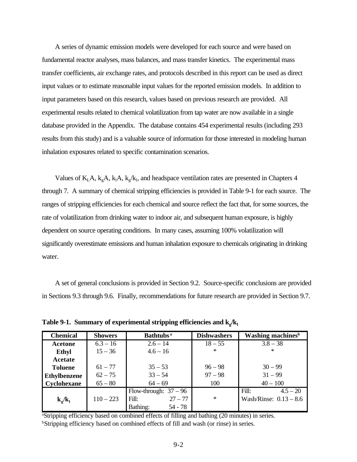A series of dynamic emission models were developed for each source and were based on fundamental reactor analyses, mass balances, and mass transfer kinetics. The experimental mass transfer coefficients, air exchange rates, and protocols described in this report can be used as direct input values or to estimate reasonable input values for the reported emission models. In addition to input parameters based on this research, values based on previous research are provided. All experimental results related to chemical volatilization from tap water are now available in a single database provided in the Appendix. The database contains 454 experimental results (including 293 results from this study) and is a valuable source of information for those interested in modeling human inhalation exposures related to specific contamination scenarios.

Values of  $K<sub>L</sub>A$ ,  $k<sub>g</sub>A$ ,  $k<sub>l</sub>A$ ,  $k<sub>g</sub>/k<sub>l</sub>$ , and headspace ventilation rates are presented in Chapters 4 through 7. A summary of chemical stripping efficiencies is provided in Table 9-1 for each source. The ranges of stripping efficiencies for each chemical and source reflect the fact that, for some sources, the rate of volatilization from drinking water to indoor air, and subsequent human exposure, is highly dependent on source operating conditions. In many cases, assuming 100% volatilization will significantly overestimate emissions and human inhalation exposure to chemicals originating in drinking water.

A set of general conclusions is provided in Section 9.2. Source-specific conclusions are provided in Sections 9.3 through 9.6. Finally, recommendations for future research are provided in Section 9.7.

| <b>Chemical</b>                   | <b>Showers</b> | Bathtubs <sup>a</sup>   | <b>Dishwashers</b> | <b>Washing machines</b> <sup>b</sup> |
|-----------------------------------|----------------|-------------------------|--------------------|--------------------------------------|
| Acetone                           | $6.3 - 16$     | $2.6 - 14$              | $18 - 55$          | $3.8 - 38$                           |
| <b>Ethyl</b>                      | $15 - 36$      | $4.6 - 16$              | $\ast$             | $\ast$                               |
| Acetate                           |                |                         |                    |                                      |
| <b>Toluene</b>                    | $61 - 77$      | $35 - 53$               | $96 - 98$          | $30 - 99$                            |
| <b>Ethylbenzene</b>               | $62 - 75$      | $33 - 54$               | $97 - 98$          | $31 - 99$                            |
| Cyclohexane                       | $65 - 80$      | $64 - 69$               | 100                | $40 - 100$                           |
|                                   |                | Flow-through: $37 - 96$ |                    | Fill:<br>$4.5 - 20$                  |
| ${\bf k}_{\rm g}/{\bf k}_{\rm l}$ | $110 - 223$    | Fill:<br>$27 - 77$      | $\ast$             | Wash/Rinse: $0.13 - 8.6$             |
|                                   |                | Bathing:<br>$54 - 78$   |                    |                                      |

Table 9-1. Summary of experimental stripping efficiencies and  $\mathbf{k}_g/\mathbf{k}_1$ 

<sup>a</sup>Stripping efficiency based on combined effects of filling and bathing (20 minutes) in series. <sup>b</sup>Stripping efficiency based on combined effects of fill and wash (or rinse) in series.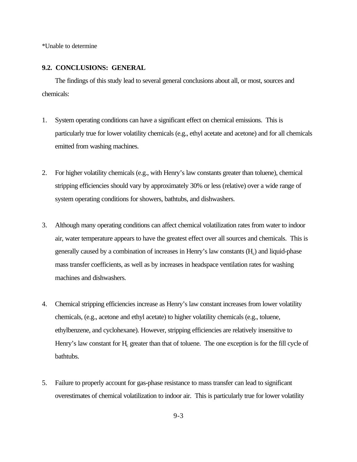\*Unable to determine

## **9.2. CONCLUSIONS: GENERAL**

The findings of this study lead to several general conclusions about all, or most, sources and chemicals:

- 1. System operating conditions can have a significant effect on chemical emissions. This is particularly true for lower volatility chemicals (e.g., ethyl acetate and acetone) and for all chemicals emitted from washing machines.
- 2. For higher volatility chemicals (e.g., with Henry's law constants greater than toluene), chemical stripping efficiencies should vary by approximately 30% or less (relative) over a wide range of system operating conditions for showers, bathtubs, and dishwashers.
- 3. Although many operating conditions can affect chemical volatilization rates from water to indoor air, water temperature appears to have the greatest effect over all sources and chemicals. This is generally caused by a combination of increases in Henry's law constants  $(H_c)$  and liquid-phase mass transfer coefficients, as well as by increases in headspace ventilation rates for washing machines and dishwashers.
- 4. Chemical stripping efficiencies increase as Henry's law constant increases from lower volatility chemicals, (e.g., acetone and ethyl acetate) to higher volatility chemicals (e.g., toluene, ethylbenzene, and cyclohexane). However, stripping efficiencies are relatively insensitive to Henry's law constant for H<sub>c</sub> greater than that of toluene. The one exception is for the fill cycle of bathtubs.
- 5. Failure to properly account for gas-phase resistance to mass transfer can lead to significant overestimates of chemical volatilization to indoor air. This is particularly true for lower volatility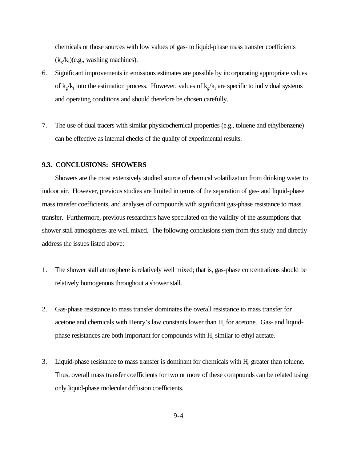chemicals or those sources with low values of gas- to liquid-phase mass transfer coefficients  $(k_g / k_l)$ (e.g., washing machines).

- 6. Significant improvements in emissions estimates are possible by incorporating appropriate values of  $k_g/k_l$  into the estimation process. However, values of  $k_g/k_l$  are specific to individual systems and operating conditions and should therefore be chosen carefully.
- 7. The use of dual tracers with similar physicochemical properties (e.g., toluene and ethylbenzene) can be effective as internal checks of the quality of experimental results.

### **9.3. CONCLUSIONS: SHOWERS**

Showers are the most extensively studied source of chemical volatilization from drinking water to indoor air. However, previous studies are limited in terms of the separation of gas- and liquid-phase mass transfer coefficients, and analyses of compounds with significant gas-phase resistance to mass transfer. Furthermore, previous researchers have speculated on the validity of the assumptions that shower stall atmospheres are well mixed. The following conclusions stem from this study and directly address the issues listed above:

- 1. The shower stall atmosphere is relatively well mixed; that is, gas-phase concentrations should be relatively homogenous throughout a shower stall.
- 2. Gas-phase resistance to mass transfer dominates the overall resistance to mass transfer for acetone and chemicals with Henry's law constants lower than  $H_c$  for acetone. Gas- and liquidphase resistances are both important for compounds with  $H_c$  similar to ethyl acetate.
- 3. Liquid-phase resistance to mass transfer is dominant for chemicals with  $H_c$  greater than toluene. Thus, overall mass transfer coefficients for two or more of these compounds can be related using only liquid-phase molecular diffusion coefficients.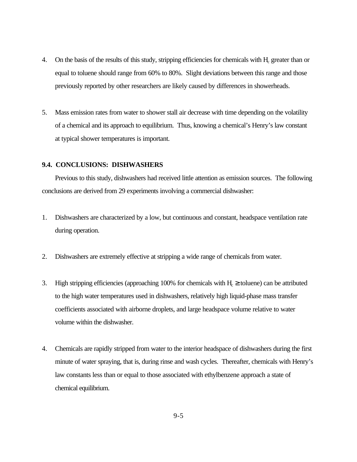- 4. On the basis of the results of this study, stripping efficiencies for chemicals with H<sub>c</sub> greater than or equal to toluene should range from 60% to 80%. Slight deviations between this range and those previously reported by other researchers are likely caused by differences in showerheads.
- 5. Mass emission rates from water to shower stall air decrease with time depending on the volatility of a chemical and its approach to equilibrium. Thus, knowing a chemical's Henry's law constant at typical shower temperatures is important.

## **9.4. CONCLUSIONS: DISHWASHERS**

Previous to this study, dishwashers had received little attention as emission sources. The following conclusions are derived from 29 experiments involving a commercial dishwasher:

- 1. Dishwashers are characterized by a low, but continuous and constant, headspace ventilation rate during operation.
- 2. Dishwashers are extremely effective at stripping a wide range of chemicals from water.
- 3. High stripping efficiencies (approaching 100% for chemicals with  $H_c \ge$  toluene) can be attributed to the high water temperatures used in dishwashers, relatively high liquid-phase mass transfer coefficients associated with airborne droplets, and large headspace volume relative to water volume within the dishwasher.
- 4. Chemicals are rapidly stripped from water to the interior headspace of dishwashers during the first minute of water spraying, that is, during rinse and wash cycles. Thereafter, chemicals with Henry's law constants less than or equal to those associated with ethylbenzene approach a state of chemical equilibrium.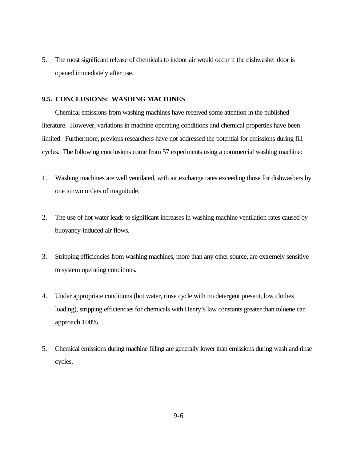5. The most significant release of chemicals to indoor air would occur if the dishwasher door is opened immediately after use.

## **9.5. CONCLUSIONS: WASHING MACHINES**

Chemical emissions from washing machines have received some attention in the published literature. However, variations in machine operating conditions and chemical properties have been limited. Furthermore, previous researchers have not addressed the potential for emissions during fill cycles. The following conclusions come from 57 experiments using a commercial washing machine:

- 1. Washing machines are well ventilated, with air exchange rates exceeding those for dishwashers by one to two orders of magnitude.
- 2. The use of hot water leads to significant increases in washing machine ventilation rates caused by buoyancy-induced air flows.
- 3. Stripping efficiencies from washing machines, more than any other source, are extremely sensitive to system operating conditions.
- 4. Under appropriate conditions (hot water, rinse cycle with no detergent present, low clothes loading), stripping efficiencies for chemicals with Henry's law constants greater than toluene can approach 100%.
- 5. Chemical emissions during machine filling are generally lower than emissions during wash and rinse cycles.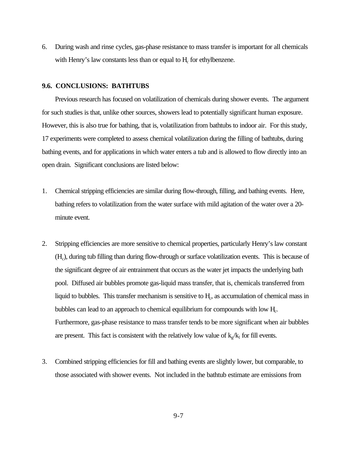6. During wash and rinse cycles, gas-phase resistance to mass transfer is important for all chemicals with Henry's law constants less than or equal to  $H_c$  for ethylbenzene.

#### **9.6. CONCLUSIONS: BATHTUBS**

Previous research has focused on volatilization of chemicals during shower events. The argument for such studies is that, unlike other sources, showers lead to potentially significant human exposure. However, this is also true for bathing, that is, volatilization from bathtubs to indoor air. For this study, 17 experiments were completed to assess chemical volatilization during the filling of bathtubs, during bathing events, and for applications in which water enters a tub and is allowed to flow directly into an open drain. Significant conclusions are listed below:

- 1. Chemical stripping efficiencies are similar during flow-through, filling, and bathing events. Here, bathing refers to volatilization from the water surface with mild agitation of the water over a 20 minute event.
- 2. Stripping efficiencies are more sensitive to chemical properties, particularly Henry's law constant (H<sub>c</sub>), during tub filling than during flow-through or surface volatilization events. This is because of the significant degree of air entrainment that occurs as the water jet impacts the underlying bath pool. Diffused air bubbles promote gas-liquid mass transfer, that is, chemicals transferred from liquid to bubbles. This transfer mechanism is sensitive to  $H<sub>c</sub>$ , as accumulation of chemical mass in bubbles can lead to an approach to chemical equilibrium for compounds with low H<sub>c</sub>. Furthermore, gas-phase resistance to mass transfer tends to be more significant when air bubbles are present. This fact is consistent with the relatively low value of  $k_g/k_l$  for fill events.
- 3. Combined stripping efficiencies for fill and bathing events are slightly lower, but comparable, to those associated with shower events. Not included in the bathtub estimate are emissions from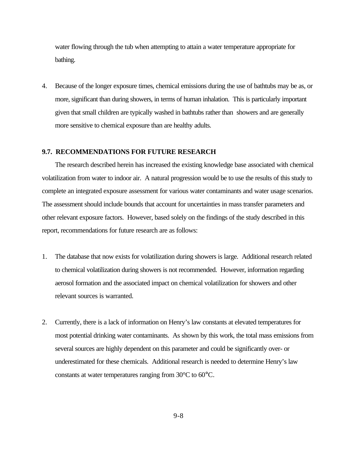water flowing through the tub when attempting to attain a water temperature appropriate for bathing.

4. Because of the longer exposure times, chemical emissions during the use of bathtubs may be as, or more, significant than during showers, in terms of human inhalation. This is particularly important given that small children are typically washed in bathtubs rather than showers and are generally more sensitive to chemical exposure than are healthy adults.

# **9.7. RECOMMENDATIONS FOR FUTURE RESEARCH**

The research described herein has increased the existing knowledge base associated with chemical volatilization from water to indoor air. A natural progression would be to use the results of this study to complete an integrated exposure assessment for various water contaminants and water usage scenarios. The assessment should include bounds that account for uncertainties in mass transfer parameters and other relevant exposure factors. However, based solely on the findings of the study described in this report, recommendations for future research are as follows:

- 1. The database that now exists for volatilization during showers is large. Additional research related to chemical volatilization during showers is not recommended. However, information regarding aerosol formation and the associated impact on chemical volatilization for showers and other relevant sources is warranted.
- 2. Currently, there is a lack of information on Henry's law constants at elevated temperatures for most potential drinking water contaminants. As shown by this work, the total mass emissions from several sources are highly dependent on this parameter and could be significantly over- or underestimated for these chemicals. Additional research is needed to determine Henry's law constants at water temperatures ranging from 30°C to 60°C.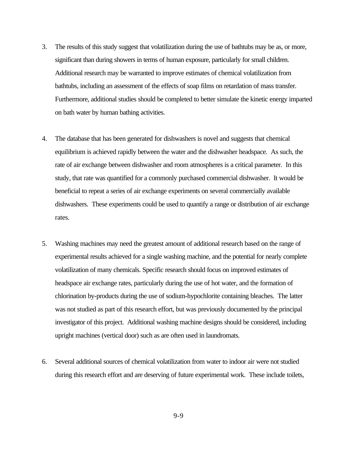- 3. The results of this study suggest that volatilization during the use of bathtubs may be as, or more, significant than during showers in terms of human exposure, particularly for small children. Additional research may be warranted to improve estimates of chemical volatilization from bathtubs, including an assessment of the effects of soap films on retardation of mass transfer. Furthermore, additional studies should be completed to better simulate the kinetic energy imparted on bath water by human bathing activities.
- 4. The database that has been generated for dishwashers is novel and suggests that chemical equilibrium is achieved rapidly between the water and the dishwasher headspace. As such, the rate of air exchange between dishwasher and room atmospheres is a critical parameter. In this study, that rate was quantified for a commonly purchased commercial dishwasher. It would be beneficial to repeat a series of air exchange experiments on several commercially available dishwashers. These experiments could be used to quantify a range or distribution of air exchange rates.
- 5. Washing machines may need the greatest amount of additional research based on the range of experimental results achieved for a single washing machine, and the potential for nearly complete volatilization of many chemicals. Specific research should focus on improved estimates of headspace air exchange rates, particularly during the use of hot water, and the formation of chlorination by-products during the use of sodium-hypochlorite containing bleaches. The latter was not studied as part of this research effort, but was previously documented by the principal investigator of this project. Additional washing machine designs should be considered, including upright machines (vertical door) such as are often used in laundromats.
- 6. Several additional sources of chemical volatilization from water to indoor air were not studied during this research effort and are deserving of future experimental work. These include toilets,